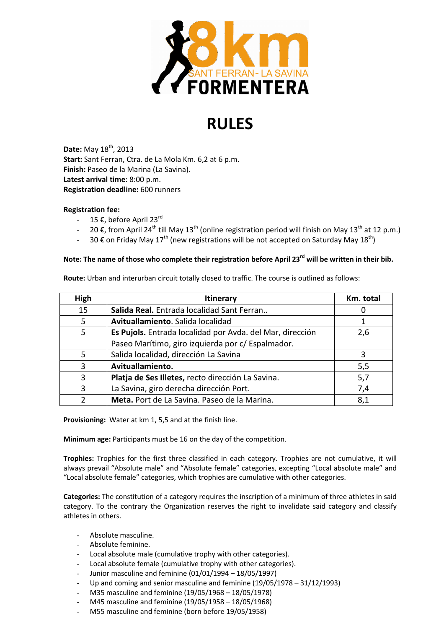

## RULES

Date: May 18<sup>th</sup>, 2013 Start: Sant Ferran, Ctra. de La Mola Km. 6,2 at 6 p.m. Finish: Paseo de la Marina (La Savina). Latest arrival time: 8:00 p.m. Registration deadline: 600 runners

## Registration fee:

- 15 €, before April 23rd
- 20 €, from April 24<sup>th</sup> till May 13<sup>th</sup> (online registration period will finish on May 13<sup>th</sup> at 12 p.m.)
- 30 € on Friday May 17<sup>th</sup> (new registrations will be not accepted on Saturday May 18<sup>th</sup>)

## Note: The name of those who complete their registration before April 23<sup>rd</sup> will be written in their bib.

Route: Urban and interurban circuit totally closed to traffic. The course is outlined as follows:

| High | <b>Itinerary</b>                                          | Km. total |
|------|-----------------------------------------------------------|-----------|
| 15   | Salida Real. Entrada localidad Sant Ferran                | U         |
| 5    | Avituallamiento. Salida localidad                         |           |
| 5    | Es Pujols. Entrada localidad por Avda. del Mar, dirección | 2,6       |
|      | Paseo Marítimo, giro izquierda por c/ Espalmador.         |           |
| 5    | Salida localidad, dirección La Savina                     | 3         |
| 3    | Avituallamiento.                                          | 5,5       |
| 3    | Platja de Ses Illetes, recto dirección La Savina.         | 5,7       |
| 3    | La Savina, giro derecha dirección Port.                   | 7,4       |
|      | Meta. Port de La Savina. Paseo de la Marina.              | 8,1       |

Provisioning: Water at km 1, 5,5 and at the finish line.

Minimum age: Participants must be 16 on the day of the competition.

Trophies: Trophies for the first three classified in each category. Trophies are not cumulative, it will always prevail "Absolute male" and "Absolute female" categories, excepting "Local absolute male" and "Local absolute female" categories, which trophies are cumulative with other categories.

Categories: The constitution of a category requires the inscription of a minimum of three athletes in said category. To the contrary the Organization reserves the right to invalidate said category and classify athletes in others.

- Absolute masculine.
- Absolute feminine.
- Local absolute male (cumulative trophy with other categories).
- Local absolute female (cumulative trophy with other categories).
- Junior masculine and feminine (01/01/1994 18/05/1997)
- Up and coming and senior masculine and feminine  $(19/05/1978 31/12/1993)$
- M35 masculine and feminine (19/05/1968 18/05/1978)
- M45 masculine and feminine (19/05/1958 18/05/1968)
- M55 masculine and feminine (born before 19/05/1958)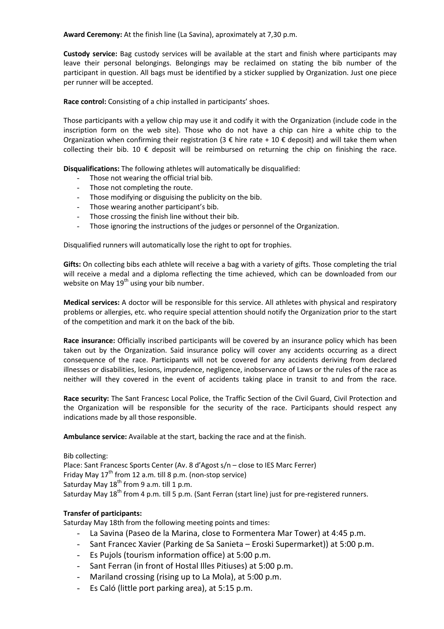Award Ceremony: At the finish line (La Savina), aproximately at 7,30 p.m.

Custody service: Bag custody services will be available at the start and finish where participants may leave their personal belongings. Belongings may be reclaimed on stating the bib number of the participant in question. All bags must be identified by a sticker supplied by Organization. Just one piece per runner will be accepted.

Race control: Consisting of a chip installed in participants' shoes.

Those participants with a yellow chip may use it and codify it with the Organization (include code in the inscription form on the web site). Those who do not have a chip can hire a white chip to the Organization when confirming their registration (3  $\epsilon$  hire rate + 10  $\epsilon$  deposit) and will take them when collecting their bib. 10  $\epsilon$  deposit will be reimbursed on returning the chip on finishing the race.

Disqualifications: The following athletes will automatically be disqualified:

- Those not wearing the official trial bib.
- Those not completing the route.
- Those modifying or disguising the publicity on the bib.
- Those wearing another participant's bib.
- Those crossing the finish line without their bib.
- Those ignoring the instructions of the judges or personnel of the Organization.

Disqualified runners will automatically lose the right to opt for trophies.

Gifts: On collecting bibs each athlete will receive a bag with a variety of gifts. Those completing the trial will receive a medal and a diploma reflecting the time achieved, which can be downloaded from our website on May  $19<sup>th</sup>$  using your bib number.

Medical services: A doctor will be responsible for this service. All athletes with physical and respiratory problems or allergies, etc. who require special attention should notify the Organization prior to the start of the competition and mark it on the back of the bib.

Race insurance: Officially inscribed participants will be covered by an insurance policy which has been taken out by the Organization. Said insurance policy will cover any accidents occurring as a direct consequence of the race. Participants will not be covered for any accidents deriving from declared illnesses or disabilities, lesions, imprudence, negligence, inobservance of Laws or the rules of the race as neither will they covered in the event of accidents taking place in transit to and from the race.

Race security: The Sant Francesc Local Police, the Traffic Section of the Civil Guard, Civil Protection and the Organization will be responsible for the security of the race. Participants should respect any indications made by all those responsible.

Ambulance service: Available at the start, backing the race and at the finish.

Bib collecting:

Place: Sant Francesc Sports Center (Av. 8 d'Agost s/n – close to IES Marc Ferrer) Friday May 17<sup>th</sup> from 12 a.m. till 8 p.m. (non-stop service) Saturday May  $18^{th}$  from 9 a.m. till 1 p.m. Saturday May 18<sup>th</sup> from 4 p.m. till 5 p.m. (Sant Ferran (start line) just for pre-registered runners.

## Transfer of participants:

Saturday May 18th from the following meeting points and times:

- La Savina (Paseo de la Marina, close to Formentera Mar Tower) at 4:45 p.m.
- Sant Francec Xavier (Parking de Sa Sanieta Eroski Supermarket)) at 5:00 p.m.
- Es Pujols (tourism information office) at 5:00 p.m.
- Sant Ferran (in front of Hostal Illes Pitiuses) at 5:00 p.m.
- Mariland crossing (rising up to La Mola), at 5:00 p.m.
- Es Caló (little port parking area), at 5:15 p.m.